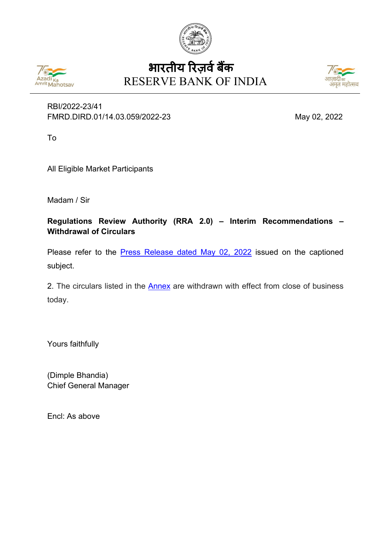



# RESERVE BANK OF INDIA भारतीय रिज़र्व बैंक



### RBI/2022-23/41 FMRD.DIRD.01/14.03.059/2022-23 May 02, 2022

To

All Eligible Market Participants

Madam / Sir

**Regulations Review Authority (RRA 2.0) – Interim Recommendations – Withdrawal of Circulars**

Please refer to the **[Press Release dated May 02, 2022](https://www.rbi.org.in/Scripts/BS_PressReleaseDisplay.aspx?prid=53642)** issued on the captioned subject.

2. The circulars listed in the **Annex** are withdrawn with effect from close of business today.

Yours faithfully

(Dimple Bhandia) Chief General Manager

Encl: As above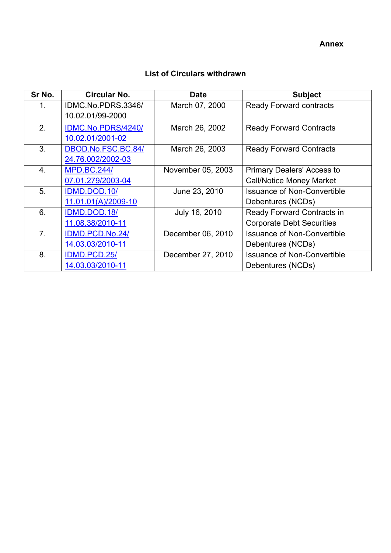**Annex**

<span id="page-1-0"></span>

| Sr No. | <b>Circular No.</b> | <b>Date</b>       | <b>Subject</b>                     |
|--------|---------------------|-------------------|------------------------------------|
| 1.     | IDMC.No.PDRS.3346/  | March 07, 2000    | <b>Ready Forward contracts</b>     |
|        | 10.02.01/99-2000    |                   |                                    |
| 2.     | IDMC.No.PDRS/4240/  | March 26, 2002    | <b>Ready Forward Contracts</b>     |
|        | 10.02.01/2001-02    |                   |                                    |
| 3.     | DBOD.No.FSC.BC.84/  | March 26, 2003    | <b>Ready Forward Contracts</b>     |
|        | 24.76.002/2002-03   |                   |                                    |
| 4.     | <b>MPD.BC.244/</b>  | November 05, 2003 | <b>Primary Dealers' Access to</b>  |
|        | 07.01.279/2003-04   |                   | <b>Call/Notice Money Market</b>    |
| 5.     | IDMD.DOD.10/        | June 23, 2010     | <b>Issuance of Non-Convertible</b> |
|        | 11.01.01(A)/2009-10 |                   | Debentures (NCDs)                  |
| 6.     | IDMD.DOD.18/        | July 16, 2010     | <b>Ready Forward Contracts in</b>  |
|        | 11.08.38/2010-11    |                   | <b>Corporate Debt Securities</b>   |
| 7.     | IDMD.PCD.No.24/     | December 06, 2010 | <b>Issuance of Non-Convertible</b> |
|        | 14.03.03/2010-11    |                   | Debentures (NCDs)                  |
| 8.     | IDMD.PCD.25/        | December 27, 2010 | <b>Issuance of Non-Convertible</b> |
|        | 14.03.03/2010-11    |                   | Debentures (NCDs)                  |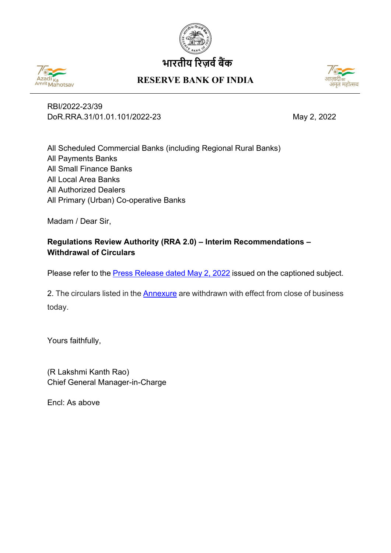

# **भारतीय �रज़व�ब�क**



## **RESERVE BANK OF INDIA**



RBI/2022-23/39 DoR.RRA.31/01.01.101/2022-23 May 2, 2022

All Scheduled Commercial Banks (including Regional Rural Banks) All Payments Banks All Small Finance Banks All Local Area Banks All Authorized Dealers All Primary (Urban) Co-operative Banks

Madam / Dear Sir,

## **Regulations Review Authority (RRA 2.0) – Interim Recommendations – Withdrawal of Circulars**

Please refer to the **Press Release dated May 2, 2022** issued on the captioned subject.

2. The circulars listed in the [Annexure](#page-3-0) are withdrawn with effect from close of business today.

Yours faithfully,

(R Lakshmi Kanth Rao) Chief General Manager-in-Charge

Encl: As above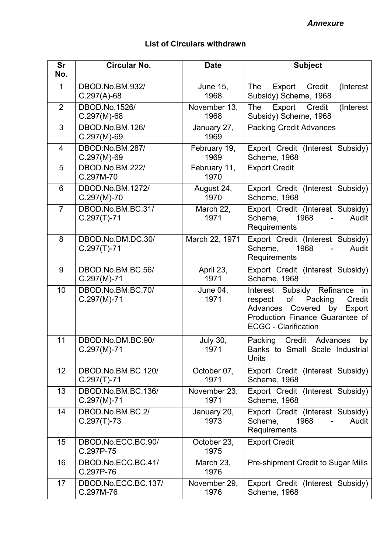<span id="page-3-0"></span>

| <b>Sr</b>       | <b>Circular No.</b>                 | <b>Date</b>             | <b>Subject</b>                                                                                                                                                               |
|-----------------|-------------------------------------|-------------------------|------------------------------------------------------------------------------------------------------------------------------------------------------------------------------|
| No.             |                                     |                         |                                                                                                                                                                              |
| $\mathbf{1}$    | DBOD.No.BM.932/<br>$C.297(A)-68$    | <b>June 15,</b><br>1968 | The<br>Credit<br>(Interest<br>Export<br>Subsidy) Scheme, 1968                                                                                                                |
| $\overline{2}$  | DBOD.No.1526/<br>$C.297(M)-68$      | November 13,<br>1968    | Export<br>Credit<br>The<br>(Interest<br>Subsidy) Scheme, 1968                                                                                                                |
| 3               | DBOD.No.BM.126/<br>$C.297(M)-69$    | January 27,<br>1969     | <b>Packing Credit Advances</b>                                                                                                                                               |
| $\overline{4}$  | DBOD.No.BM.287/<br>$C.297(M)-69$    | February 19,<br>1969    | Export Credit (Interest Subsidy)<br><b>Scheme, 1968</b>                                                                                                                      |
| 5               | DBOD.No.BM.222/<br>C.297M-70        | February 11,<br>1970    | <b>Export Credit</b>                                                                                                                                                         |
| 6               | DBOD.No.BM.1272/<br>$C.297(M)-70$   | August 24,<br>1970      | Export Credit (Interest Subsidy)<br>Scheme, 1968                                                                                                                             |
| $\overline{7}$  | DBOD.No.BM.BC.31/<br>$C.297(T)-71$  | March 22,<br>1971       | Export Credit (Interest Subsidy)<br>Scheme,<br>1968<br>Audit<br>Requirements                                                                                                 |
| 8               | DBOD.No.DM.DC.30/<br>$C.297(T)-71$  | March 22, 1971          | Export Credit (Interest Subsidy)<br>Scheme,<br>1968<br>Audit<br>Requirements                                                                                                 |
| 9               | DBOD.No.BM.BC.56/<br>$C.297(M)-71$  | April 23,<br>1971       | Export Credit (Interest Subsidy)<br><b>Scheme, 1968</b>                                                                                                                      |
| 10              | DBOD.No.BM.BC.70/<br>$C.297(M)-71$  | June 04,<br>1971        | Interest Subsidy Refinance<br>in<br>of<br>Packing<br>respect<br>Credit<br>Covered<br>by Export<br>Advances<br>Production Finance Guarantee of<br><b>ECGC - Clarification</b> |
| 11              | DBOD.No.DM.BC.90/<br>$C.297(M)-71$  | <b>July 30,</b><br>1971 | Credit Advances<br>Packing<br>by<br>Banks to Small Scale Industrial<br><b>Units</b>                                                                                          |
| 12 <sub>2</sub> | DBOD.No.BM.BC.120/<br>$C.297(T)-71$ | October 07,<br>1971     | Export Credit (Interest Subsidy)<br><b>Scheme, 1968</b>                                                                                                                      |
| 13              | DBOD.No.BM.BC.136/<br>$C.297(M)-71$ | November 23,<br>1971    | Export Credit (Interest Subsidy)<br><b>Scheme, 1968</b>                                                                                                                      |
| 14              | DBOD.No.BM.BC.2/<br>$C.297(T)-73$   | January 20,<br>1973     | Export Credit (Interest Subsidy)<br>Scheme,<br>1968<br>Audit<br>Requirements                                                                                                 |
| 15              | DBOD.No.ECC.BC.90/<br>C.297P-75     | October 23,<br>1975     | <b>Export Credit</b>                                                                                                                                                         |
| 16              | DBOD.No.ECC.BC.41/<br>C.297P-76     | March 23,<br>1976       | Pre-shipment Credit to Sugar Mills                                                                                                                                           |
| 17              | DBOD.No.ECC.BC.137/<br>C.297M-76    | November 29,<br>1976    | Export Credit (Interest Subsidy)<br>Scheme, 1968                                                                                                                             |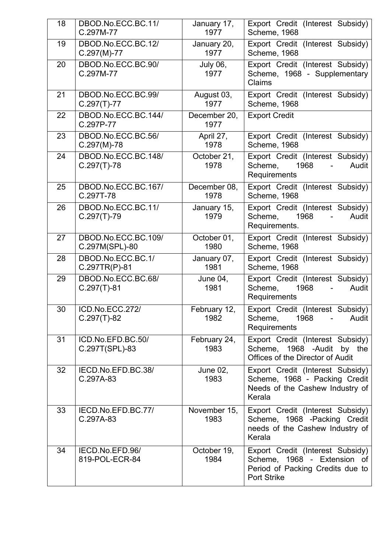| 18 | DBOD.No.ECC.BC.11/<br>C.297M-77       | January 17,<br>1977     | Export Credit (Interest Subsidy)<br><b>Scheme, 1968</b>                                                                   |
|----|---------------------------------------|-------------------------|---------------------------------------------------------------------------------------------------------------------------|
| 19 | DBOD.No.ECC.BC.12/<br>$C.297(M)-77$   | January 20,<br>1977     | Export Credit (Interest Subsidy)<br>Scheme, 1968                                                                          |
| 20 | DBOD.No.ECC.BC.90/<br>C.297M-77       | <b>July 06,</b><br>1977 | Export Credit (Interest Subsidy)<br>Scheme, 1968 - Supplementary<br>Claims                                                |
| 21 | DBOD.No.ECC.BC.99/<br>$C.297(T)-77$   | August 03,<br>1977      | Export Credit (Interest Subsidy)<br><b>Scheme, 1968</b>                                                                   |
| 22 | DBOD.No.ECC.BC.144/<br>C.297P-77      | December 20,<br>1977    | <b>Export Credit</b>                                                                                                      |
| 23 | DBOD.No.ECC.BC.56/<br>$C.297(M)-78$   | April 27,<br>1978       | Export Credit (Interest Subsidy)<br><b>Scheme, 1968</b>                                                                   |
| 24 | DBOD.No.ECC.BC.148/<br>$C.297(T)-78$  | October 21,<br>1978     | Export Credit (Interest Subsidy)<br>Scheme,<br>1968<br>Audit<br>$\blacksquare$<br>Requirements                            |
| 25 | DBOD.No.ECC.BC.167/<br>C.297T-78      | December 08,<br>1978    | Export Credit (Interest Subsidy)<br><b>Scheme, 1968</b>                                                                   |
| 26 | DBOD.No.ECC.BC.11/<br>$C.297(T)-79$   | January 15,<br>1979     | Export Credit (Interest Subsidy)<br>Scheme,<br>1968<br>Audit<br>Requirements.                                             |
| 27 | DBOD.No.ECC.BC.109/<br>C.297M(SPL)-80 | October 01,<br>1980     | Export Credit (Interest Subsidy)<br><b>Scheme, 1968</b>                                                                   |
| 28 | DBOD.No.ECC.BC.1/<br>C.297TR(P)-81    | January 07,<br>1981     | Export Credit (Interest Subsidy)<br><b>Scheme, 1968</b>                                                                   |
| 29 | DBOD.No.ECC.BC.68/<br>$C.297(T)-81$   | June 04,<br>1981        | Export Credit (Interest Subsidy)<br>Scheme,<br>1968<br>Audit<br>Requirements                                              |
| 30 | ICD.No.ECC.272/<br>$C.297(T)-82$      | February 12,<br>1982    | Export Credit (Interest Subsidy)<br>Scheme,<br>1968<br>Audit<br>$\sim 100$<br>Requirements                                |
| 31 | ICD.No.EFD.BC.50/<br>C.297T(SPL)-83   | February 24,<br>1983    | Export Credit (Interest Subsidy)<br>Scheme, 1968 -Audit by the<br><b>Offices of the Director of Audit</b>                 |
| 32 | IECD.No.EFD.BC.38/<br>C.297A-83       | June 02,<br>1983        | Export Credit (Interest Subsidy)<br>Scheme, 1968 - Packing Credit<br>Needs of the Cashew Industry of<br>Kerala            |
| 33 | IECD.No.EFD.BC.77/<br>C.297A-83       | November 15,<br>1983    | Export Credit (Interest Subsidy)<br>Scheme, 1968 - Packing Credit<br>needs of the Cashew Industry of<br>Kerala            |
| 34 | IECD.No.EFD.96/<br>819-POL-ECR-84     | October 19,<br>1984     | Export Credit (Interest Subsidy)<br>Scheme, 1968 - Extension of<br>Period of Packing Credits due to<br><b>Port Strike</b> |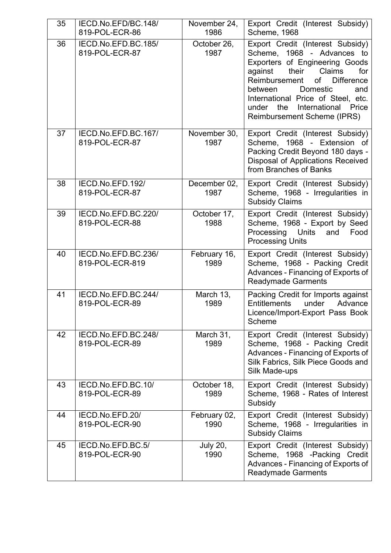| 35 | IECD.No.EFD/BC.148/<br>819-POL-ECR-86  | November 24,<br>1986    | Export Credit (Interest Subsidy)<br>Scheme, 1968                                                                                                                                                                                                                                                                               |
|----|----------------------------------------|-------------------------|--------------------------------------------------------------------------------------------------------------------------------------------------------------------------------------------------------------------------------------------------------------------------------------------------------------------------------|
| 36 | IECD.No.EFD.BC.185/<br>819-POL-ECR-87  | October 26,<br>1987     | Export Credit (Interest Subsidy)<br>Scheme, 1968 - Advances to<br>Exporters of Engineering Goods<br>their<br>Claims<br>against<br>for<br>Reimbursement<br>of<br><b>Difference</b><br>Domestic<br>between<br>and<br>International Price of Steel, etc.<br>International<br>under<br>the<br>Price<br>Reimbursement Scheme (IPRS) |
| 37 | IECD.No.EFD.BC.167/<br>819-POL-ECR-87  | November 30,<br>1987    | Export Credit (Interest Subsidy)<br>Scheme, 1968 - Extension of<br>Packing Credit Beyond 180 days -<br>Disposal of Applications Received<br>from Branches of Banks                                                                                                                                                             |
| 38 | IECD.No.EFD.192/<br>819-POL-ECR-87     | December 02,<br>1987    | Export Credit (Interest Subsidy)<br>Scheme, 1968 - Irregularities in<br><b>Subsidy Claims</b>                                                                                                                                                                                                                                  |
| 39 | IECD.No.EFD.BC.220/<br>819-POL-ECR-88  | October 17,<br>1988     | Export Credit (Interest Subsidy)<br>Scheme, 1968 - Export by Seed<br>Processing<br><b>Units</b><br>and<br>Food<br><b>Processing Units</b>                                                                                                                                                                                      |
| 40 | IECD.No.EFD.BC.236/<br>819-POL-ECR-819 | February 16,<br>1989    | Export Credit (Interest Subsidy)<br>Scheme, 1968 - Packing Credit<br>Advances - Financing of Exports of<br><b>Readymade Garments</b>                                                                                                                                                                                           |
| 41 | IECD.No.EFD.BC.244/<br>819-POL-ECR-89  | March 13,<br>1989       | Packing Credit for Imports against<br><b>Entitlements</b><br>under<br>Advance<br>Licence/Import-Export Pass Book<br>Scheme                                                                                                                                                                                                     |
| 42 | IECD.No.EFD.BC.248/<br>819-POL-ECR-89  | March 31,<br>1989       | Export Credit (Interest Subsidy)<br>Scheme, 1968 - Packing Credit<br>Advances - Financing of Exports of<br>Silk Fabrics, Silk Piece Goods and<br>Silk Made-ups                                                                                                                                                                 |
| 43 | IECD.No.EFD.BC.10/<br>819-POL-ECR-89   | October 18,<br>1989     | Export Credit (Interest Subsidy)<br>Scheme, 1968 - Rates of Interest<br>Subsidy                                                                                                                                                                                                                                                |
| 44 | IECD.No.EFD.20/<br>819-POL-ECR-90      | February 02,<br>1990    | Export Credit (Interest Subsidy)<br>Scheme, 1968 - Irregularities in<br><b>Subsidy Claims</b>                                                                                                                                                                                                                                  |
| 45 | IECD.No.EFD.BC.5/<br>819-POL-ECR-90    | <b>July 20,</b><br>1990 | Export Credit (Interest Subsidy)<br>Scheme, 1968 -Packing Credit<br>Advances - Financing of Exports of<br><b>Readymade Garments</b>                                                                                                                                                                                            |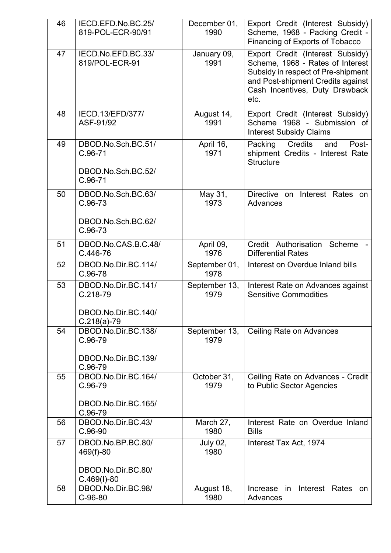| 46 | IECD.EFD.No.BC.25/<br>819-POL-ECR-90/91 | December 01,<br>1990    | Export Credit (Interest Subsidy)<br>Scheme, 1968 - Packing Credit -<br>Financing of Exports of Tobacco                                                                                    |
|----|-----------------------------------------|-------------------------|-------------------------------------------------------------------------------------------------------------------------------------------------------------------------------------------|
| 47 | IECD.No.EFD.BC.33/<br>819/POL-ECR-91    | January 09,<br>1991     | Export Credit (Interest Subsidy)<br>Scheme, 1968 - Rates of Interest<br>Subsidy in respect of Pre-shipment<br>and Post-shipment Credits against<br>Cash Incentives, Duty Drawback<br>etc. |
| 48 | IECD.13/EFD/377/<br>ASF-91/92           | August 14,<br>1991      | Export Credit (Interest Subsidy)<br>Scheme 1968 - Submission of<br><b>Interest Subsidy Claims</b>                                                                                         |
| 49 | DBOD.No.Sch.BC.51/<br>$C.96-71$         | April 16,<br>1971       | Credits<br>Packing<br>Post-<br>and<br>shipment Credits - Interest Rate<br><b>Structure</b>                                                                                                |
|    | DBOD.No.Sch.BC.52/<br>$C.96-71$         |                         |                                                                                                                                                                                           |
| 50 | DBOD.No.Sch.BC.63/<br>$C.96-73$         | May 31,<br>1973         | Directive on<br>Interest Rates on<br>Advances                                                                                                                                             |
|    | DBOD.No.Sch.BC.62/<br>$C.96-73$         |                         |                                                                                                                                                                                           |
| 51 | DBOD.No.CAS.B.C.48/<br>C.446-76         | April 09,<br>1976       | Credit Authorisation<br>Scheme<br><b>Differential Rates</b>                                                                                                                               |
| 52 | DBOD.No.Dir.BC.114/<br>$C.96-78$        | September 01,<br>1978   | Interest on Overdue Inland bills                                                                                                                                                          |
|    |                                         |                         |                                                                                                                                                                                           |
| 53 | DBOD.No.Dir.BC.141/<br>$C.218-79$       | September 13,<br>1979   | Interest Rate on Advances against<br><b>Sensitive Commodities</b>                                                                                                                         |
|    | DBOD.No.Dir.BC.140/<br>$C.218(a)-79$    |                         |                                                                                                                                                                                           |
| 54 | DBOD.No.Dir.BC.138/<br>$C.96-79$        | September 13,<br>1979   | <b>Ceiling Rate on Advances</b>                                                                                                                                                           |
|    | DBOD.No.Dir.BC.139/<br>C.96-79          |                         |                                                                                                                                                                                           |
| 55 | DBOD.No.Dir.BC.164/<br>C.96-79          | October 31,<br>1979     | Ceiling Rate on Advances - Credit<br>to Public Sector Agencies                                                                                                                            |
|    | DBOD.No.Dir.BC.165/<br>C.96-79          |                         |                                                                                                                                                                                           |
| 56 | DBOD.No.Dir.BC.43/<br>$C.96-90$         | March 27,<br>1980       | Interest Rate on Overdue Inland<br><b>Bills</b>                                                                                                                                           |
| 57 | DBOD.No.BP.BC.80/<br>469(f)-80          | <b>July 02,</b><br>1980 | Interest Tax Act, 1974                                                                                                                                                                    |
|    | DBOD.No.Dir.BC.80/<br>$C.469(1)-80$     |                         |                                                                                                                                                                                           |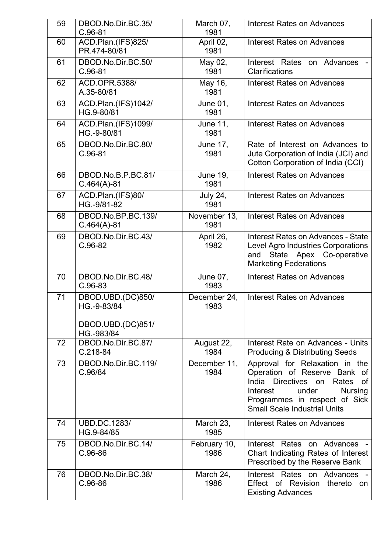| 59 | DBOD.No.Dir.BC.35/<br>$C.96-81$                                     | March 07,<br>1981       | <b>Interest Rates on Advances</b>                                                                                                                                                                                   |
|----|---------------------------------------------------------------------|-------------------------|---------------------------------------------------------------------------------------------------------------------------------------------------------------------------------------------------------------------|
| 60 | ACD.Plan.(IFS)825/<br>PR.474-80/81                                  | April 02,<br>1981       | <b>Interest Rates on Advances</b>                                                                                                                                                                                   |
| 61 | DBOD.No.Dir.BC.50/<br>$C.96-81$                                     | May 02,<br>1981         | Interest Rates on Advances<br>Clarifications                                                                                                                                                                        |
| 62 | ACD.OPR.5388/<br>A.35-80/81                                         | May 16,<br>1981         | <b>Interest Rates on Advances</b>                                                                                                                                                                                   |
| 63 | ACD.Plan.(IFS)1042/<br>HG.9-80/81                                   | June 01,<br>1981        | <b>Interest Rates on Advances</b>                                                                                                                                                                                   |
| 64 | ACD.Plan.(IFS)1099/<br>HG.-9-80/81                                  | June 11,<br>1981        | <b>Interest Rates on Advances</b>                                                                                                                                                                                   |
| 65 | DBOD.No.Dir.BC.80/<br>$C.96-81$                                     | <b>June 17,</b><br>1981 | Rate of Interest on Advances to<br>Jute Corporation of India (JCI) and<br>Cotton Corporation of India (CCI)                                                                                                         |
| 66 | DBOD.No.B.P.BC.81/<br>$C.464(A)-81$                                 | <b>June 19,</b><br>1981 | <b>Interest Rates on Advances</b>                                                                                                                                                                                   |
| 67 | ACD.Plan.(IFS)80/<br>HG.-9/81-82                                    | <b>July 24,</b><br>1981 | <b>Interest Rates on Advances</b>                                                                                                                                                                                   |
| 68 | DBOD.No.BP.BC.139/<br>$C.464(A)-81$                                 | November 13,<br>1981    | <b>Interest Rates on Advances</b>                                                                                                                                                                                   |
| 69 | DBOD.No.Dir.BC.43/<br>$C.96-82$                                     | April 26,<br>1982       | Interest Rates on Advances - State<br>Level Agro Industries Corporations<br>State Apex Co-operative<br>and<br><b>Marketing Federations</b>                                                                          |
| 70 | DBOD.No.Dir.BC.48/<br>$C.96-83$                                     | <b>June 07,</b><br>1983 | <b>Interest Rates on Advances</b>                                                                                                                                                                                   |
| 71 | DBOD.UBD.(DC)850/<br>HG.-9-83/84<br>DBOD.UBD.(DC)851/<br>HG.-983/84 | December 24,<br>1983    | <b>Interest Rates on Advances</b>                                                                                                                                                                                   |
| 72 | DBOD.No.Dir.BC.87/<br>$C.218-84$                                    | August 22,<br>1984      | Interest Rate on Advances - Units<br><b>Producing &amp; Distributing Seeds</b>                                                                                                                                      |
| 73 | DBOD.No.Dir.BC.119/<br>C.96/84                                      | December 11,<br>1984    | Approval for Relaxation in the<br>Operation of Reserve Bank of<br>India Directives on<br>Rates<br>οf<br>Interest<br>under<br><b>Nursing</b><br>Programmes in respect of Sick<br><b>Small Scale Industrial Units</b> |
| 74 | <b>UBD.DC.1283/</b><br>HG.9-84/85                                   | March 23,<br>1985       | <b>Interest Rates on Advances</b>                                                                                                                                                                                   |
| 75 | DBOD.No.Dir.BC.14/<br>$C.96-86$                                     | February 10,<br>1986    | Interest Rates on Advances -<br>Chart Indicating Rates of Interest<br>Prescribed by the Reserve Bank                                                                                                                |
| 76 | DBOD.No.Dir.BC.38/<br>$C.96-86$                                     | March 24,<br>1986       | Interest Rates on Advances<br>Effect of Revision thereto on<br><b>Existing Advances</b>                                                                                                                             |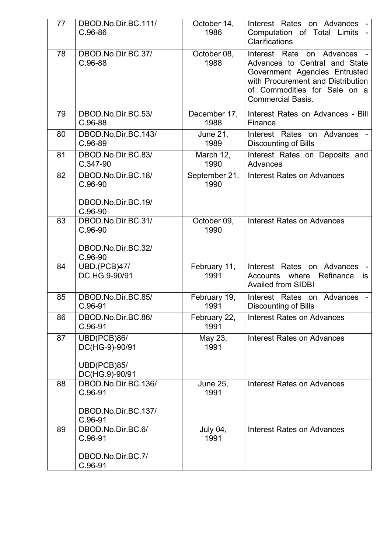| 77 | DBOD.No.Dir.BC.111/<br>$C.96-86$                                     | October 14,<br>1986     | Interest Rates on Advances -<br>Computation of Total Limits -<br><b>Clarifications</b>                                                                                                          |
|----|----------------------------------------------------------------------|-------------------------|-------------------------------------------------------------------------------------------------------------------------------------------------------------------------------------------------|
| 78 | DBOD.No.Dir.BC.37/<br>C.96-88                                        | October 08,<br>1988     | Interest Rate<br>on Advances<br>Advances to Central and State<br>Government Agencies Entrusted<br>with Procurement and Distribution<br>of Commodities for Sale on a<br><b>Commercial Basis.</b> |
| 79 | DBOD.No.Dir.BC.53/<br>$C.96-88$                                      | December 17,<br>1988    | Interest Rates on Advances - Bill<br>Finance                                                                                                                                                    |
| 80 | DBOD.No.Dir.BC.143/<br>$C.96-89$                                     | June 21,<br>1989        | Interest Rates on Advances -<br><b>Discounting of Bills</b>                                                                                                                                     |
| 81 | DBOD.No.Dir.BC.83/<br>C.347-90                                       | March 12,<br>1990       | Interest Rates on Deposits and<br>Advances                                                                                                                                                      |
| 82 | DBOD.No.Dir.BC.18/<br>$C.96-90$<br>DBOD.No.Dir.BC.19/<br>$C.96-90$   | September 21,<br>1990   | <b>Interest Rates on Advances</b>                                                                                                                                                               |
| 83 | DBOD.No.Dir.BC.31/<br>$C.96-90$<br>DBOD.No.Dir.BC.32/<br>$C.96-90$   | October 09,<br>1990     | <b>Interest Rates on Advances</b>                                                                                                                                                               |
| 84 | <b>UBD.(PCB)47/</b><br>DC.HG.9-90/91                                 | February 11,<br>1991    | Interest Rates on Advances<br>Accounts where<br>Refinance<br><b>is</b><br><b>Availed from SIDBI</b>                                                                                             |
| 85 | DBOD.No.Dir.BC.85/<br>$C.96-91$                                      | February 19,<br>1991    | Interest Rates on<br>Advances<br><b>Discounting of Bills</b>                                                                                                                                    |
| 86 | DBOD.No.Dir.BC.86/<br>$C.96-91$                                      | February 22,<br>1991    | <b>Interest Rates on Advances</b>                                                                                                                                                               |
| 87 | UBD(PCB)86/<br>DC(HG-9)-90/91<br>UBD(PCB)85/<br>DC(HG.9)-90/91       | May 23,<br>1991         | <b>Interest Rates on Advances</b>                                                                                                                                                               |
| 88 | DBOD.No.Dir.BC.136/<br>$C.96-91$<br>DBOD.No.Dir.BC.137/<br>$C.96-91$ | <b>June 25,</b><br>1991 | Interest Rates on Advances                                                                                                                                                                      |
| 89 | DBOD.No.Dir.BC.6/<br>$C.96-91$<br>DBOD.No.Dir.BC.7/                  | <b>July 04,</b><br>1991 | <b>Interest Rates on Advances</b>                                                                                                                                                               |
|    | C.96-91                                                              |                         |                                                                                                                                                                                                 |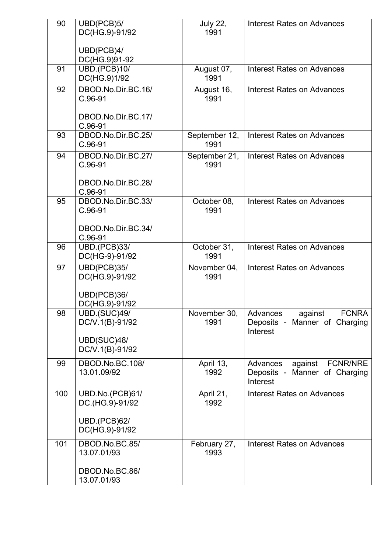| 90  | UBD(PCB)5/<br>DC(HG.9)-91/92          | <b>July 22,</b><br>1991 | <b>Interest Rates on Advances</b>         |
|-----|---------------------------------------|-------------------------|-------------------------------------------|
|     |                                       |                         |                                           |
|     | UBD(PCB)4/<br>DC(HG.9)91-92           |                         |                                           |
| 91  | <b>UBD.(PCB)10/</b>                   | August 07,              | <b>Interest Rates on Advances</b>         |
| 92  | DC(HG.9)1/92<br>DBOD.No.Dir.BC.16/    | 1991                    | <b>Interest Rates on Advances</b>         |
|     | $C.96-91$                             | August 16,<br>1991      |                                           |
|     | DBOD.No.Dir.BC.17/                    |                         |                                           |
|     | $C.96-91$                             |                         |                                           |
| 93  | DBOD.No.Dir.BC.25/<br>$C.96-91$       | September 12,<br>1991   | <b>Interest Rates on Advances</b>         |
| 94  | DBOD.No.Dir.BC.27/                    | September 21,           | <b>Interest Rates on Advances</b>         |
|     | $C.96-91$                             | 1991                    |                                           |
|     | DBOD.No.Dir.BC.28/                    |                         |                                           |
| 95  | $C.96-91$<br>DBOD.No.Dir.BC.33/       | October 08,             | <b>Interest Rates on Advances</b>         |
|     | $C.96-91$                             | 1991                    |                                           |
|     | DBOD.No.Dir.BC.34/                    |                         |                                           |
|     | $C.96-91$                             |                         |                                           |
| 96  | <b>UBD.(PCB)33/</b><br>DC(HG-9)-91/92 | October 31,<br>1991     | <b>Interest Rates on Advances</b>         |
| 97  | UBD(PCB)35/                           | November 04,            | <b>Interest Rates on Advances</b>         |
|     | DC(HG.9)-91/92                        | 1991                    |                                           |
|     | UBD(PCB)36/                           |                         |                                           |
| 98  | DC(HG.9)-91/92<br><b>UBD.(SUC)49/</b> | November 30,            | against FCNRA<br>Advances                 |
|     | DC/V.1(B)-91/92                       | 1991                    | Deposits - Manner of Charging             |
|     | UBD(SUC)48/                           |                         | Interest                                  |
|     | DC/V.1(B)-91/92                       |                         |                                           |
| 99  | DBOD.No.BC.108/                       | April 13,<br>1992       | against<br><b>FCNR/NRE</b><br>Advances    |
|     | 13.01.09/92                           |                         | Deposits - Manner of Charging<br>Interest |
| 100 | UBD.No.(PCB)61/                       | April 21,               | <b>Interest Rates on Advances</b>         |
|     | DC.(HG.9)-91/92                       | 1992                    |                                           |
|     | <b>UBD.(PCB)62/</b>                   |                         |                                           |
|     | DC(HG.9)-91/92                        |                         |                                           |
| 101 | DBOD.No.BC.85/<br>13.07.01/93         | February 27,<br>1993    | <b>Interest Rates on Advances</b>         |
|     | DBOD.No.BC.86/                        |                         |                                           |
|     | 13.07.01/93                           |                         |                                           |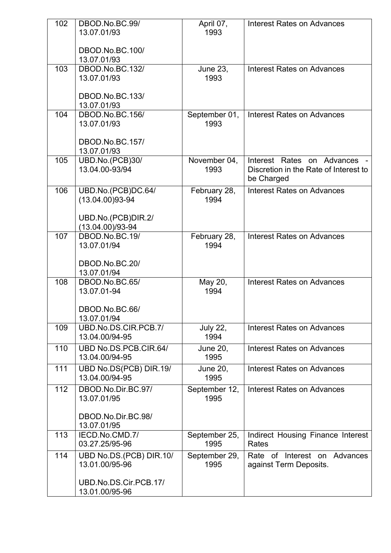| 102 | DBOD.No.BC.99/<br>13.07.01/93             | April 07,<br>1993       | <b>Interest Rates on Advances</b>                                                 |
|-----|-------------------------------------------|-------------------------|-----------------------------------------------------------------------------------|
|     | DBOD.No.BC.100/                           |                         |                                                                                   |
|     | 13.07.01/93                               |                         |                                                                                   |
| 103 | DBOD.No.BC.132/<br>13.07.01/93            | <b>June 23,</b><br>1993 | <b>Interest Rates on Advances</b>                                                 |
|     | DBOD.No.BC.133/<br>13.07.01/93            |                         |                                                                                   |
| 104 | DBOD.No.BC.156/<br>13.07.01/93            | September 01,<br>1993   | <b>Interest Rates on Advances</b>                                                 |
|     | DBOD.No.BC.157/<br>13.07.01/93            |                         |                                                                                   |
| 105 | UBD.No.(PCB)30/<br>13.04.00-93/94         | November 04,<br>1993    | Interest Rates on Advances<br>Discretion in the Rate of Interest to<br>be Charged |
| 106 | UBD.No.(PCB)DC.64/<br>$(13.04.00)93 - 94$ | February 28,<br>1994    | <b>Interest Rates on Advances</b>                                                 |
|     | UBD.No.(PCB)DIR.2/<br>$(13.04.00)/93-94$  |                         |                                                                                   |
| 107 | DBOD.No.BC.19/<br>13.07.01/94             | February 28,<br>1994    | <b>Interest Rates on Advances</b>                                                 |
|     | DBOD.No.BC.20/<br>13.07.01/94             |                         |                                                                                   |
| 108 | DBOD.No.BC.65/<br>13.07.01-94             | May 20,<br>1994         | <b>Interest Rates on Advances</b>                                                 |
|     | DBOD.No.BC.66/<br>13.07.01/94             |                         |                                                                                   |
| 109 | UBD.No.DS.CIR.PCB.7/<br>13.04.00/94-95    | <b>July 22,</b><br>1994 | <b>Interest Rates on Advances</b>                                                 |
| 110 | UBD No.DS.PCB.CIR.64/<br>13.04.00/94-95   | <b>June 20,</b><br>1995 | <b>Interest Rates on Advances</b>                                                 |
| 111 | UBD No.DS(PCB) DIR.19/<br>13.04.00/94-95  | <b>June 20,</b><br>1995 | <b>Interest Rates on Advances</b>                                                 |
| 112 | DBOD.No.Dir.BC.97/<br>13.07.01/95         | September 12,<br>1995   | <b>Interest Rates on Advances</b>                                                 |
|     | DBOD.No.Dir.BC.98/<br>13.07.01/95         |                         |                                                                                   |
| 113 | IECD.No.CMD.7/<br>03.27.25/95-96          | September 25,<br>1995   | Indirect Housing Finance Interest<br>Rates                                        |
| 114 | UBD No.DS.(PCB) DIR.10/<br>13.01.00/95-96 | September 29,<br>1995   | Rate of Interest on Advances<br>against Term Deposits.                            |
|     | UBD.No.DS.Cir.PCB.17/<br>13.01.00/95-96   |                         |                                                                                   |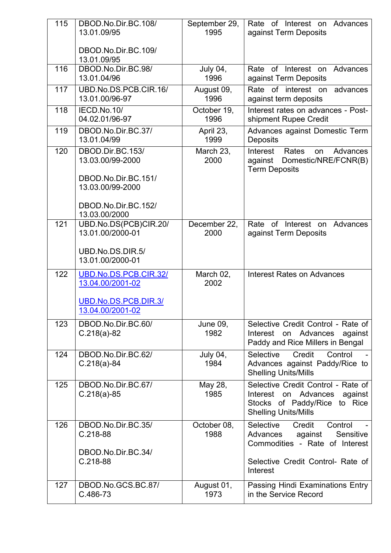| 115 | DBOD.No.Dir.BC.108/<br>13.01.09/95        | September 29,<br>1995   | Rate of Interest on Advances<br>against Term Deposits                                                                                      |
|-----|-------------------------------------------|-------------------------|--------------------------------------------------------------------------------------------------------------------------------------------|
|     | DBOD.No.Dir.BC.109/<br>13.01.09/95        |                         |                                                                                                                                            |
| 116 | DBOD.No.Dir.BC.98/<br>13.01.04/96         | July 04,<br>1996        | Rate of Interest on Advances<br>against Term Deposits                                                                                      |
| 117 | UBD.No.DS.PCB.CIR.16/<br>13.01.00/96-97   | August 09,<br>1996      | Rate of interest on<br>advances<br>against term deposits                                                                                   |
| 118 | IECD.No.10/<br>04.02.01/96-97             | October 19,<br>1996     | Interest rates on advances - Post-<br>shipment Rupee Credit                                                                                |
| 119 | DBOD.No.Dir.BC.37/<br>13.01.04/99         | April 23,<br>1999       | Advances against Domestic Term<br><b>Deposits</b>                                                                                          |
| 120 | DBOD.Dir.BC.153/<br>13.03.00/99-2000      | March 23,<br>2000       | Interest<br>Advances<br>Rates<br>on<br>Domestic/NRE/FCNR(B)<br>against<br><b>Term Deposits</b>                                             |
|     | DBOD.No.Dir.BC.151/<br>13.03.00/99-2000   |                         |                                                                                                                                            |
|     | DBOD.No.Dir.BC.152/<br>13.03.00/2000      |                         |                                                                                                                                            |
| 121 | UBD.No.DS(PCB)CIR.20/<br>13.01.00/2000-01 | December 22,<br>2000    | Rate of Interest on<br>Advances<br>against Term Deposits                                                                                   |
|     | UBD.No.DS.DIR.5/<br>13.01.00/2000-01      |                         |                                                                                                                                            |
| 122 | UBD.No.DS.PCB.CIR.32/<br>13.04.00/2001-02 | March 02,<br>2002       | <b>Interest Rates on Advances</b>                                                                                                          |
|     | UBD.No.DS.PCB.DIR.3/<br>13.04.00/2001-02  |                         |                                                                                                                                            |
| 123 | DBOD.No.Dir.BC.60/<br>$C.218(a)-82$       | <b>June 09,</b><br>1982 | Selective Credit Control - Rate of<br>Interest on Advances against<br>Paddy and Rice Millers in Bengal                                     |
| 124 | DBOD.No.Dir.BC.62/<br>$C.218(a) - 84$     | July 04,<br>1984        | Selective<br>Credit<br>Control<br>Advances against Paddy/Rice to<br><b>Shelling Units/Mills</b>                                            |
| 125 | DBOD.No.Dir.BC.67/<br>$C.218(a) - 85$     | May 28,<br>1985         | Selective Credit Control - Rate of<br>Advances<br>against<br>Interest<br>on<br>Stocks of Paddy/Rice to Rice<br><b>Shelling Units/Mills</b> |
| 126 | DBOD.No.Dir.BC.35/<br>$C.218-88$          | October 08,<br>1988     | Selective<br>Credit<br>Control<br>Sensitive<br>Advances<br>against<br>Commodities - Rate of Interest                                       |
|     | DBOD.No.Dir.BC.34/<br>$C.218-88$          |                         | Selective Credit Control- Rate of<br>Interest                                                                                              |
| 127 | DBOD.No.GCS.BC.87/<br>C.486-73            | August 01,<br>1973      | Passing Hindi Examinations Entry<br>in the Service Record                                                                                  |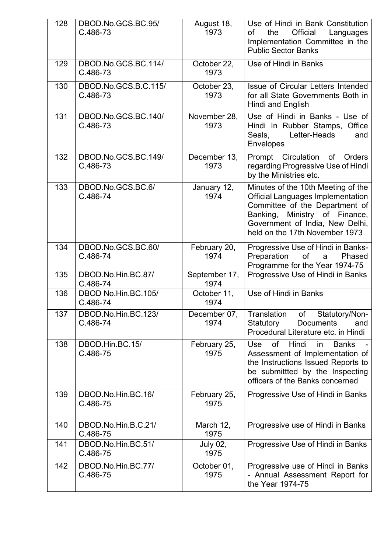| 128 | DBOD.No.GCS.BC.95/<br>C.486-73   | August 18,<br>1973    | Use of Hindi in Bank Constitution<br>Official<br>the<br>οf<br>Languages<br>Implementation Committee in the<br><b>Public Sector Banks</b>                                                                                  |
|-----|----------------------------------|-----------------------|---------------------------------------------------------------------------------------------------------------------------------------------------------------------------------------------------------------------------|
| 129 | DBOD.No.GCS.BC.114/<br>C.486-73  | October 22,<br>1973   | Use of Hindi in Banks                                                                                                                                                                                                     |
| 130 | DBOD.No.GCS.B.C.115/<br>C.486-73 | October 23,<br>1973   | Issue of Circular Letters Intended<br>for all State Governments Both in<br>Hindi and English                                                                                                                              |
| 131 | DBOD.No.GCS.BC.140/<br>C.486-73  | November 28,<br>1973  | Use of Hindi in Banks - Use of<br>Hindi In Rubber Stamps, Office<br>Letter-Heads<br>Seals,<br>and<br>Envelopes                                                                                                            |
| 132 | DBOD.No.GCS.BC.149/<br>C.486-73  | December 13,<br>1973  | Prompt Circulation<br>of Orders<br>regarding Progressive Use of Hindi<br>by the Ministries etc.                                                                                                                           |
| 133 | DBOD.No.GCS.BC.6/<br>C.486-74    | January 12,<br>1974   | Minutes of the 10th Meeting of the<br><b>Official Languages Implementation</b><br>Committee of the Department of<br>Ministry of Finance,<br>Banking,<br>Government of India, New Delhi,<br>held on the 17th November 1973 |
| 134 | DBOD.No.GCS.BC.60/<br>C.486-74   | February 20,<br>1974  | Progressive Use of Hindi in Banks-<br>of<br>Preparation<br>Phased<br>a<br>Programme for the Year 1974-75                                                                                                                  |
| 135 | DBOD.No.Hin.BC.87/<br>C.486-74   | September 17,<br>1974 | Progressive Use of Hindi in Banks                                                                                                                                                                                         |
| 136 | DBOD No.Hin.BC.105/<br>C.486-74  | October 11,<br>1974   | Use of Hindi in Banks                                                                                                                                                                                                     |
| 137 | DBOD.No.Hin.BC.123/<br>C.486-74  | December 07,<br>1974  | Translation of Statutory/Non-<br>Statutory<br>Documents<br>and<br>Procedural Literature etc. in Hindi                                                                                                                     |
| 138 | DBOD.Hin.BC.15/<br>C.486-75      | February 25,<br>1975  | of<br>Hindi<br>Use<br><b>Banks</b><br><sub>in</sub><br>Assessment of Implementation of<br>the Instructions Issued Reports to<br>be submittted by the Inspecting<br>officers of the Banks concerned                        |
| 139 | DBOD.No.Hin.BC.16/<br>C.486-75   | February 25,<br>1975  | Progressive Use of Hindi in Banks                                                                                                                                                                                         |
| 140 | DBOD.No.Hin.B.C.21/<br>C.486-75  | March 12,<br>1975     | Progressive use of Hindi in Banks                                                                                                                                                                                         |
| 141 | DBOD.No.Hin.BC.51/<br>C.486-75   | July 02,<br>1975      | Progressive Use of Hindi in Banks                                                                                                                                                                                         |
| 142 | DBOD.No.Hin.BC.77/<br>C.486-75   | October 01,<br>1975   | Progressive use of Hindi in Banks<br>- Annual Assessment Report for<br>the Year 1974-75                                                                                                                                   |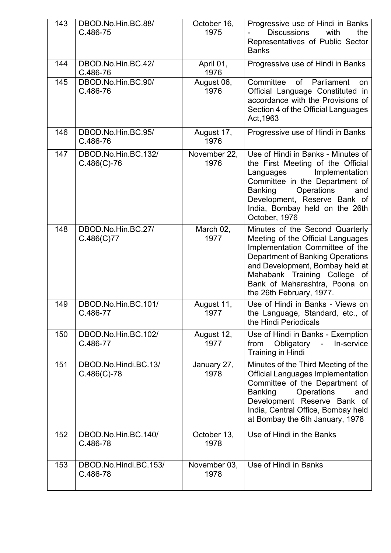| 143 | DBOD.No.Hin.BC.88/<br>C.486-75        | October 16,<br>1975  | Progressive use of Hindi in Banks<br><b>Discussions</b><br>with<br>the<br>Representatives of Public Sector<br><b>Banks</b>                                                                                                                                                  |
|-----|---------------------------------------|----------------------|-----------------------------------------------------------------------------------------------------------------------------------------------------------------------------------------------------------------------------------------------------------------------------|
| 144 | DBOD.No.Hin.BC.42/<br>C.486-76        | April 01,<br>1976    | Progressive use of Hindi in Banks                                                                                                                                                                                                                                           |
| 145 | DBOD.No.Hin.BC.90/<br>C.486-76        | August 06,<br>1976   | of<br>Parliament<br>Committee<br>on.<br>Official Language Constituted in<br>accordance with the Provisions of<br>Section 4 of the Official Languages<br>Act, 1963                                                                                                           |
| 146 | DBOD.No.Hin.BC.95/<br>C.486-76        | August 17,<br>1976   | Progressive use of Hindi in Banks                                                                                                                                                                                                                                           |
| 147 | DBOD.No.Hin.BC.132/<br>$C.486(C)-76$  | November 22,<br>1976 | Use of Hindi in Banks - Minutes of<br>the First Meeting of the Official<br>Implementation<br>Languages<br>Committee in the Department of<br>Operations<br><b>Banking</b><br>and<br>Development, Reserve Bank of<br>India, Bombay held on the 26th<br>October, 1976          |
| 148 | DBOD.No.Hin.BC.27/<br>C.486(C)77      | March 02,<br>1977    | Minutes of the Second Quarterly<br>Meeting of the Official Languages<br>Implementation Committee of the<br>Department of Banking Operations<br>and Development, Bombay held at<br>Mahabank Training College of<br>Bank of Maharashtra, Poona on<br>the 26th February, 1977. |
| 149 | DBOD.No.Hin.BC.101/<br>C.486-77       | August 11,<br>1977   | Use of Hindi in Banks - Views on<br>the Language, Standard, etc., of<br>the Hindi Periodicals                                                                                                                                                                               |
| 150 | DBOD.No.Hin.BC.102/<br>C.486-77       | August 12,<br>1977   | Use of Hindi in Banks - Exemption<br>In-service<br>from<br>Obligatory<br>$\blacksquare$<br><b>Training in Hindi</b>                                                                                                                                                         |
| 151 | DBOD.No.Hindi.BC.13/<br>$C.486(C)-78$ | January 27,<br>1978  | Minutes of the Third Meeting of the<br><b>Official Languages Implementation</b><br>Committee of the Department of<br><b>Banking</b><br><b>Operations</b><br>and<br>Development Reserve Bank of<br>India, Central Office, Bombay held<br>at Bombay the 6th January, 1978     |
| 152 | DBOD.No.Hin.BC.140/<br>C.486-78       | October 13,<br>1978  | Use of Hindi in the Banks                                                                                                                                                                                                                                                   |
| 153 | DBOD.No.Hindi.BC.153/<br>C.486-78     | November 03,<br>1978 | Use of Hindi in Banks                                                                                                                                                                                                                                                       |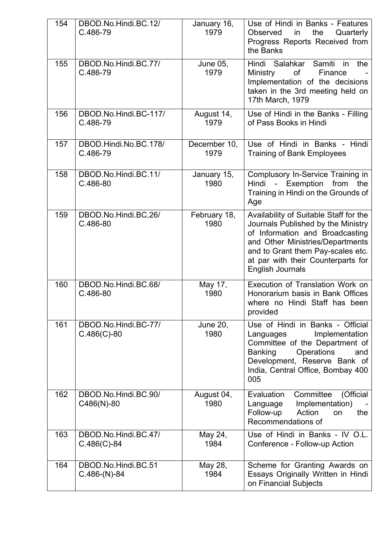| 154 | DBOD.No.Hindi.BC.12/<br>C.486-79      | January 16,<br>1979     | Use of Hindi in Banks - Features<br>Quarterly<br>Observed<br>the<br>in<br>Progress Reports Received from<br>the Banks                                                                                                                                     |
|-----|---------------------------------------|-------------------------|-----------------------------------------------------------------------------------------------------------------------------------------------------------------------------------------------------------------------------------------------------------|
| 155 | DBOD.No.Hindi.BC.77/<br>C.486-79      | <b>June 05,</b><br>1979 | Hindi Salahkar<br>Samiti<br>the<br>in<br>of<br>Ministry<br>Finance<br>Implementation of the decisions<br>taken in the 3rd meeting held on<br>17th March, 1979                                                                                             |
| 156 | DBOD.No.Hindi.BC-117/<br>C.486-79     | August 14,<br>1979      | Use of Hindi in the Banks - Filling<br>of Pass Books in Hindi                                                                                                                                                                                             |
| 157 | DBOD.Hindi.No.BC.178/<br>C.486-79     | December 10,<br>1979    | Use of Hindi in Banks - Hindi<br><b>Training of Bank Employees</b>                                                                                                                                                                                        |
| 158 | DBOD.No.Hindi.BC.11/<br>C.486-80      | January 15,<br>1980     | Complusory In-Service Training in<br>- Exemption from<br>Hindi<br>the<br>Training in Hindi on the Grounds of<br>Age                                                                                                                                       |
| 159 | DBOD.No.Hindi.BC.26/<br>C.486-80      | February 18,<br>1980    | Availability of Suitable Staff for the<br>Journals Published by the Ministry<br>of Information and Broadcasting<br>and Other Ministries/Departments<br>and to Grant them Pay-scales etc.<br>at par with their Counterparts for<br><b>English Journals</b> |
| 160 | DBOD.No.Hindi.BC.68/<br>C.486-80      | May 17,<br>1980         | Execution of Translation Work on<br>Honorarium basis in Bank Offices<br>where no Hindi Staff has been<br>provided                                                                                                                                         |
| 161 | DBOD.No.Hindi.BC-77/<br>$C.486(C)-80$ | <b>June 20,</b><br>1980 | Use of Hindi in Banks - Official<br>Implementation<br>Languages<br>Committee of the Department of<br>Operations<br><b>Banking</b><br>and<br>Development, Reserve Bank of<br>India, Central Office, Bombay 400<br>005                                      |
| 162 | DBOD.No.Hindi.BC.90/<br>C486(N)-80    | August 04,<br>1980      | Evaluation<br>Committee<br>(Official<br>Implementation)<br>Language<br>Follow-up<br>Action<br>the<br>on<br>Recommendations of                                                                                                                             |
| 163 | DBOD.No.Hindi.BC.47/<br>$C.486(C)-84$ | May 24,<br>1984         | Use of Hindi in Banks - IV O.L.<br>Conference - Follow-up Action                                                                                                                                                                                          |
| 164 | DBOD.No.Hindi.BC.51<br>$C.486-(N)-84$ | May 28,<br>1984         | Scheme for Granting Awards on<br>Essays Originally Written in Hindi<br>on Financial Subjects                                                                                                                                                              |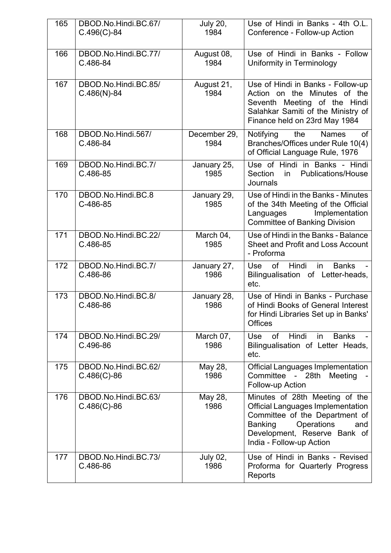| 165 | DBOD.No.Hindi.BC.67/<br>$C.496(C)-84$ | <b>July 20,</b><br>1984 | Use of Hindi in Banks - 4th O.L.<br>Conference - Follow-up Action                                                                                                                                               |
|-----|---------------------------------------|-------------------------|-----------------------------------------------------------------------------------------------------------------------------------------------------------------------------------------------------------------|
| 166 | DBOD.No.Hindi.BC.77/<br>C.486-84      | August 08,<br>1984      | Use of Hindi in Banks - Follow<br>Uniformity in Terminology                                                                                                                                                     |
| 167 | DBOD.No.Hindi.BC.85/<br>$C.486(N)-84$ | August 21,<br>1984      | Use of Hindi in Banks - Follow-up<br>Action on the Minutes of the<br>Seventh Meeting of the Hindi<br>Salahkar Samiti of the Ministry of<br>Finance held on 23rd May 1984                                        |
| 168 | DBOD.No.Hindi.567/<br>C.486-84        | December 29,<br>1984    | Notifying<br>the<br><b>Names</b><br>0f<br>Branches/Offices under Rule 10(4)<br>of Official Language Rule, 1976                                                                                                  |
| 169 | DBOD.No.Hindi.BC.7/<br>C.486-85       | January 25,<br>1985     | Use of Hindi in Banks - Hindi<br>Section<br>in<br><b>Publications/House</b><br>Journals                                                                                                                         |
| 170 | DBOD.No.Hindi.BC.8<br>C-486-85        | January 29,<br>1985     | Use of Hindi in the Banks - Minutes<br>of the 34th Meeting of the Official<br>Languages<br>Implementation<br><b>Committee of Banking Division</b>                                                               |
| 171 | DBOD.No.Hindi.BC.22/<br>C.486-85      | March 04,<br>1985       | Use of Hindi in the Banks - Balance<br><b>Sheet and Profit and Loss Account</b><br>- Proforma                                                                                                                   |
| 172 | DBOD.No.Hindi.BC.7/<br>C.486-86       | January 27,<br>1986     | Hindi<br><b>Banks</b><br>of<br>in<br><b>Use</b><br>Bilingualisation of Letter-heads,<br>etc.                                                                                                                    |
| 173 | DBOD.No.Hindi.BC.8/<br>C.486-86       | January 28,<br>1986     | Use of Hindi in Banks - Purchase<br>of Hindi Books of General Interest<br>for Hindi Libraries Set up in Banks'<br><b>Offices</b>                                                                                |
| 174 | DBOD.No.Hindi.BC.29/<br>C.496-86      | March 07,<br>1986       | of<br>Hindi in<br><b>Banks</b><br><b>Use</b><br>Bilingualisation of Letter Heads,<br>etc.                                                                                                                       |
| 175 | DBOD.No.Hindi.BC.62/<br>$C.486(C)-86$ | May 28,<br>1986         | Official Languages Implementation<br>Committee - 28th<br>Meeting<br>Follow-up Action                                                                                                                            |
| 176 | DBOD.No.Hindi.BC.63/<br>$C.486(C)-86$ | May 28,<br>1986         | Minutes of 28th Meeting of the<br><b>Official Languages Implementation</b><br>Committee of the Department of<br>Operations<br><b>Banking</b><br>and<br>Development, Reserve Bank of<br>India - Follow-up Action |
| 177 | DBOD.No.Hindi.BC.73/<br>C.486-86      | <b>July 02,</b><br>1986 | Use of Hindi in Banks - Revised<br>Proforma for Quarterly Progress<br>Reports                                                                                                                                   |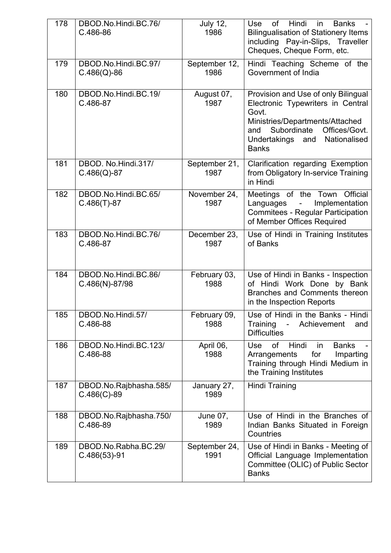| 178 | DBOD.No.Hindi.BC.76/<br>C.486-86         | <b>July 12,</b><br>1986 | Hindi<br>of<br>Use<br>in<br><b>Banks</b><br><b>Bilingualisation of Stationery Items</b><br>including Pay-in-Slips, Traveller<br>Cheques, Cheque Form, etc.                                                         |
|-----|------------------------------------------|-------------------------|--------------------------------------------------------------------------------------------------------------------------------------------------------------------------------------------------------------------|
| 179 | DBOD.No.Hindi.BC.97/<br>$C.486(Q) - 86$  | September 12,<br>1986   | Hindi Teaching Scheme of the<br>Government of India                                                                                                                                                                |
| 180 | DBOD.No.Hindi.BC.19/<br>C.486-87         | August 07,<br>1987      | Provision and Use of only Bilingual<br>Electronic Typewriters in Central<br>Govt.<br>Ministries/Departments/Attached<br>Subordinate<br>Offices/Govt.<br>and<br>Undertakings<br>Nationalised<br>and<br><b>Banks</b> |
| 181 | DBOD. No.Hindi.317/<br>$C.486(Q) - 87$   | September 21,<br>1987   | Clarification regarding Exemption<br>from Obligatory In-service Training<br>in Hindi                                                                                                                               |
| 182 | DBOD.No.Hindi.BC.65/<br>$C.486(T)-87$    | November 24,<br>1987    | Meetings of the Town Official<br>Implementation<br>Languages<br>$\blacksquare$<br><b>Commitees - Regular Participation</b><br>of Member Offices Required                                                           |
| 183 | DBOD.No.Hindi.BC.76/<br>C.486-87         | December 23,<br>1987    | Use of Hindi in Training Institutes<br>of Banks                                                                                                                                                                    |
| 184 | DBOD.No.Hindi.BC.86/<br>$C.486(N)-87/98$ | February 03,<br>1988    | Use of Hindi in Banks - Inspection<br>of Hindi Work Done by Bank<br>Branches and Comments thereon<br>in the Inspection Reports                                                                                     |
| 185 | DBOD.No.Hindi.57/<br>C.486-88            | February 09,<br>1988    | Use of Hindi in the Banks - Hindi<br>Training<br>Achievement<br>and<br><b>Difficulties</b>                                                                                                                         |
| 186 | DBOD.No.Hindi.BC.123/<br>C.486-88        | April 06,<br>1988       | of<br>Hindi<br><b>Use</b><br><b>Banks</b><br>in.<br>for<br>Imparting<br>Arrangements<br>Training through Hindi Medium in<br>the Training Institutes                                                                |
| 187 | DBOD.No.Rajbhasha.585/<br>$C.486(C)-89$  | January 27,<br>1989     | <b>Hindi Training</b>                                                                                                                                                                                              |
| 188 | DBOD.No.Rajbhasha.750/<br>C.486-89       | June 07,<br>1989        | Use of Hindi in the Branches of<br>Indian Banks Situated in Foreign<br>Countries                                                                                                                                   |
| 189 | DBOD.No.Rabha.BC.29/<br>$C.486(53)-91$   | September 24,<br>1991   | Use of Hindi in Banks - Meeting of<br>Official Language Implementation<br>Committee (OLIC) of Public Sector<br><b>Banks</b>                                                                                        |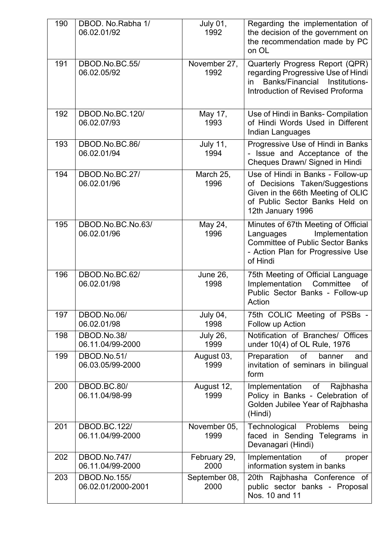| 190 | DBOD. No.Rabha 1/<br>06.02.01/92        | <b>July 01,</b><br>1992 | Regarding the implementation of<br>the decision of the government on<br>the recommendation made by PC<br>on OL                                                  |
|-----|-----------------------------------------|-------------------------|-----------------------------------------------------------------------------------------------------------------------------------------------------------------|
| 191 | DBOD.No.BC.55/<br>06.02.05/92           | November 27,<br>1992    | Quarterly Progress Report (QPR)<br>regarding Progressive Use of Hindi<br>Banks/Financial Institutions-<br>in<br><b>Introduction of Revised Proforma</b>         |
| 192 | DBOD.No.BC.120/<br>06.02.07/93          | May 17,<br>1993         | Use of Hindi in Banks- Compilation<br>of Hindi Words Used in Different<br>Indian Languages                                                                      |
| 193 | DBOD.No.BC.86/<br>06.02.01/94           | <b>July 11,</b><br>1994 | Progressive Use of Hindi in Banks<br>- Issue and Acceptance of the<br>Cheques Drawn/ Signed in Hindi                                                            |
| 194 | DBOD.No.BC.27/<br>06.02.01/96           | March 25,<br>1996       | Use of Hindi in Banks - Follow-up<br>of Decisions Taken/Suggestions<br>Given in the 66th Meeting of OLIC<br>of Public Sector Banks Held on<br>12th January 1996 |
| 195 | DBOD.No.BC.No.63/<br>06.02.01/96        | May 24,<br>1996         | Minutes of 67th Meeting of Official<br>Implementation<br>Languages<br><b>Committee of Public Sector Banks</b><br>- Action Plan for Progressive Use<br>of Hindi  |
| 196 | DBOD.No.BC.62/<br>06.02.01/98           | <b>June 26,</b><br>1998 | 75th Meeting of Official Language<br>Implementation<br>Committee<br>of<br>Public Sector Banks - Follow-up<br>Action                                             |
| 197 | DBOD.No.06/<br>06.02.01/98              | <b>July 04,</b><br>1998 | 75th COLIC Meeting of PSBs -<br>Follow up Action                                                                                                                |
| 198 | DBOD.No.38/<br>06.11.04/99-2000         | <b>July 26,</b><br>1999 | Notification of Branches/ Offices<br>under 10(4) of OL Rule, 1976                                                                                               |
| 199 | DBOD.No.51/<br>06.03.05/99-2000         | August 03,<br>1999      | Preparation<br>of<br>banner<br>and<br>invitation of seminars in bilingual<br>form                                                                               |
| 200 | DBOD.BC.80/<br>06.11.04/98-99           | August 12,<br>1999      | Rajbhasha<br>Implementation<br>of<br>Policy in Banks - Celebration of<br>Golden Jubilee Year of Rajbhasha<br>(Hindi)                                            |
| 201 | <b>DBOD.BC.122/</b><br>06.11.04/99-2000 | November 05,<br>1999    | Technological<br>Problems<br>being<br>faced in Sending Telegrams in<br>Devanagari (Hindi)                                                                       |
| 202 | DBOD.No.747/<br>06.11.04/99-2000        | February 29,<br>2000    | Implementation<br>of<br>proper<br>information system in banks                                                                                                   |
| 203 | DBOD.No.155/<br>06.02.01/2000-2001      | September 08,<br>2000   | 20th Rajbhasha Conference of<br>public sector banks - Proposal<br>Nos. 10 and 11                                                                                |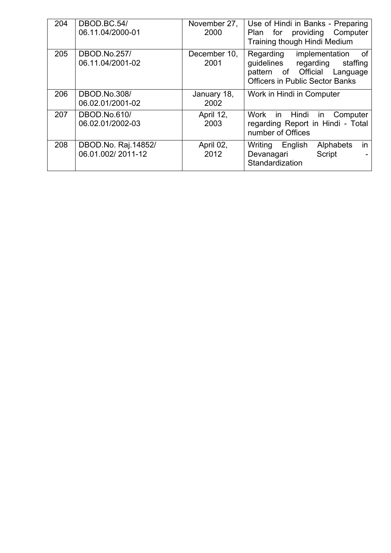| 204 | DBOD.BC.54/<br>06.11.04/2000-01          | November 27,<br>2000 | Use of Hindi in Banks - Preparing<br>providing Computer<br>Plan for<br>Training though Hindi Medium                                          |
|-----|------------------------------------------|----------------------|----------------------------------------------------------------------------------------------------------------------------------------------|
| 205 | DBOD.No.257/<br>06.11.04/2001-02         | December 10,<br>2001 | Regarding implementation<br>of<br>guidelines regarding<br>staffing<br>pattern of Official Language<br><b>Officers in Public Sector Banks</b> |
| 206 | <b>DBOD.No.308/</b><br>06.02.01/2001-02  | January 18,<br>2002  | Work in Hindi in Computer                                                                                                                    |
| 207 | DBOD.No.610/<br>06.02.01/2002-03         | April 12,<br>2003    | Work in Hindi in Computer<br>regarding Report in Hindi - Total<br>number of Offices                                                          |
| 208 | DBOD.No. Raj.14852/<br>06.01.002/2011-12 | April 02,<br>2012    | in<br>Alphabets<br>Writing English<br>Script<br>Devanagari<br>Standardization                                                                |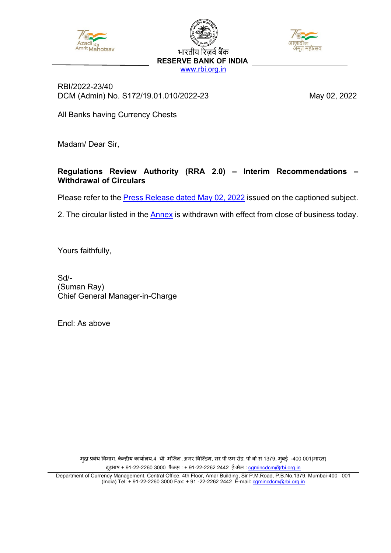

भारतीय रिज़र्व बैंक **RESERVE BANK OF INDIA** [www.rbi.org.in](https://www.rbi.org.in/)



RBI/2022-23/40 DCM (Admin) No. S172/19.01.010/2022-23 May 02, 2022

All Banks having Currency Chests

Madam/ Dear Sir,

#### **Regulations Review Authority (RRA 2.0) – Interim Recommendations – Withdrawal of Circulars**

Please refer to the [Press Release dated May 02, 2022](https://www.rbi.org.in/Scripts/BS_PressReleaseDisplay.aspx?prid=53642) issued on the captioned subject.

2. The circular listed in the [Annex](#page-20-0) is withdrawn with effect from close of business today.

Yours faithfully,

Sd/- (Suman Ray) Chief General Manager-in-Charge

Encl: As above

मुद्रा प्रबंध विभाग, केन्द्रीय कायोलय,4 थी मजिल ,अमर बिल्डिंग, सर पी एम रोड, पो बो स 1379, मुंबई -400 001(भारत) दूरभाष + 91-22-2260 3000 फैक्स [:](mailto:cgmincdcm@rbi.org.in) + 91-22-2262 2442 ई-मेल : camincdcm@rbi.org.in

Department of Currency Management, Central Office, 4th Floor, Amar Building, Sir P.M.Road, P.B.No.1379, Mumbai-400 001 (India) Tel: + 91-22-2260 3000 Fax: + 91 -22-2262 2442 E-mail: <u>cgmincdcm@rbi.org.in</u>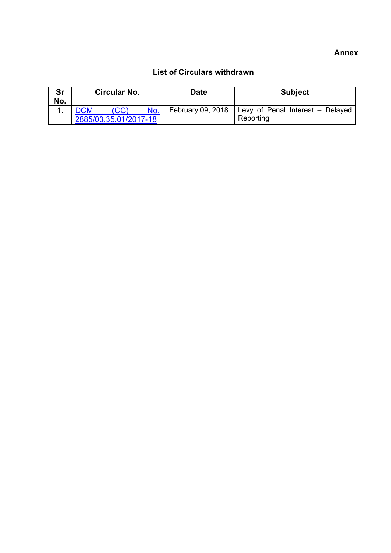#### **Annex**

<span id="page-20-0"></span>

| Sr<br>No. | <b>Circular No.</b>   |      | Date | <b>Subject</b>    |                                  |
|-----------|-----------------------|------|------|-------------------|----------------------------------|
|           |                       | (CC) | No.  | February 09, 2018 | Levy of Penal Interest - Delayed |
|           | 2885/03.35.01/2017-18 |      |      |                   | Reporting                        |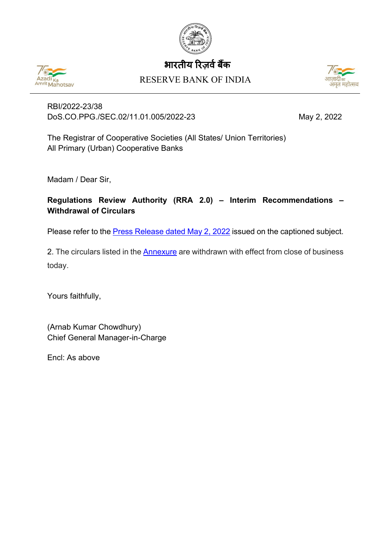

# भारतीय रिजर्व बैंक





RBI/2022-23/38 DoS.CO.PPG./SEC.02/11.01.005/2022-23 May 2, 2022

The Registrar of Cooperative Societies (All States/ Union Territories) All Primary (Urban) Cooperative Banks

Madam / Dear Sir,

**Regulations Review Authority (RRA 2.0) – Interim Recommendations – Withdrawal of Circulars**

Please refer to the **Press Release dated May 2, 2022** issued on the captioned subject.

2. The circulars listed in the **Annexure** are withdrawn with effect from close of business today.

Yours faithfully,

(Arnab Kumar Chowdhury) Chief General Manager-in-Charge

Encl: As above